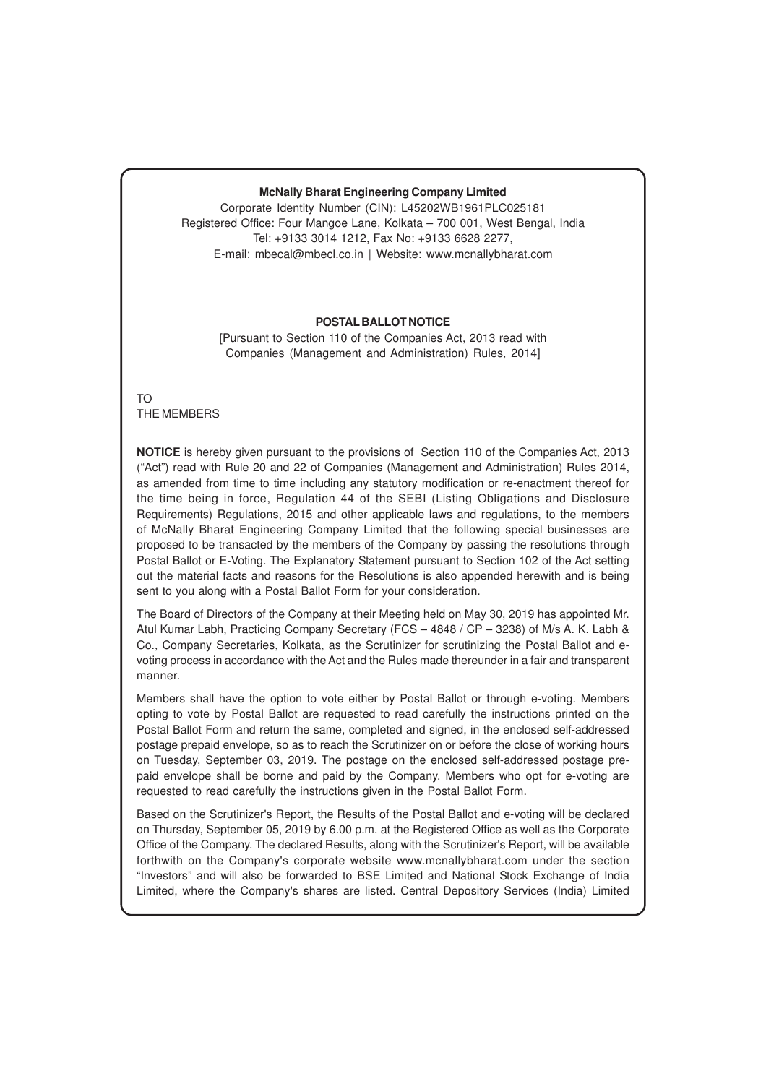# **McNally Bharat Engineering Company Limited**

Corporate Identity Number (CIN): L45202WB1961PLC025181 Registered Office: Four Mangoe Lane, Kolkata – 700 001, West Bengal, India Tel: +9133 3014 1212, Fax No: +9133 6628 2277, E-mail: mbecal@mbecl.co.in | Website: www.mcnallybharat.com

# **POSTAL BALLOT NOTICE**

[Pursuant to Section 110 of the Companies Act, 2013 read with Companies (Management and Administration) Rules, 2014]

TO THE MEMBERS

**NOTICE** is hereby given pursuant to the provisions of Section 110 of the Companies Act, 2013 ("Act") read with Rule 20 and 22 of Companies (Management and Administration) Rules 2014, as amended from time to time including any statutory modification or re-enactment thereof for the time being in force, Regulation 44 of the SEBI (Listing Obligations and Disclosure Requirements) Regulations, 2015 and other applicable laws and regulations, to the members of McNally Bharat Engineering Company Limited that the following special businesses are proposed to be transacted by the members of the Company by passing the resolutions through Postal Ballot or E-Voting. The Explanatory Statement pursuant to Section 102 of the Act setting out the material facts and reasons for the Resolutions is also appended herewith and is being sent to you along with a Postal Ballot Form for your consideration.

The Board of Directors of the Company at their Meeting held on May 30, 2019 has appointed Mr. Atul Kumar Labh, Practicing Company Secretary (FCS – 4848 / CP – 3238) of M/s A. K. Labh & Co., Company Secretaries, Kolkata, as the Scrutinizer for scrutinizing the Postal Ballot and evoting process in accordance with the Act and the Rules made thereunder in a fair and transparent manner.

Members shall have the option to vote either by Postal Ballot or through e-voting. Members opting to vote by Postal Ballot are requested to read carefully the instructions printed on the Postal Ballot Form and return the same, completed and signed, in the enclosed self-addressed postage prepaid envelope, so as to reach the Scrutinizer on or before the close of working hours on Tuesday, September 03, 2019. The postage on the enclosed self-addressed postage prepaid envelope shall be borne and paid by the Company. Members who opt for e-voting are requested to read carefully the instructions given in the Postal Ballot Form.

Based on the Scrutinizer's Report, the Results of the Postal Ballot and e-voting will be declared on Thursday, September 05, 2019 by 6.00 p.m. at the Registered Office as well as the Corporate Office of the Company. The declared Results, along with the Scrutinizer's Report, will be available forthwith on the Company's corporate website www.mcnallybharat.com under the section "Investors" and will also be forwarded to BSE Limited and National Stock Exchange of India Limited, where the Company's shares are listed. Central Depository Services (India) Limited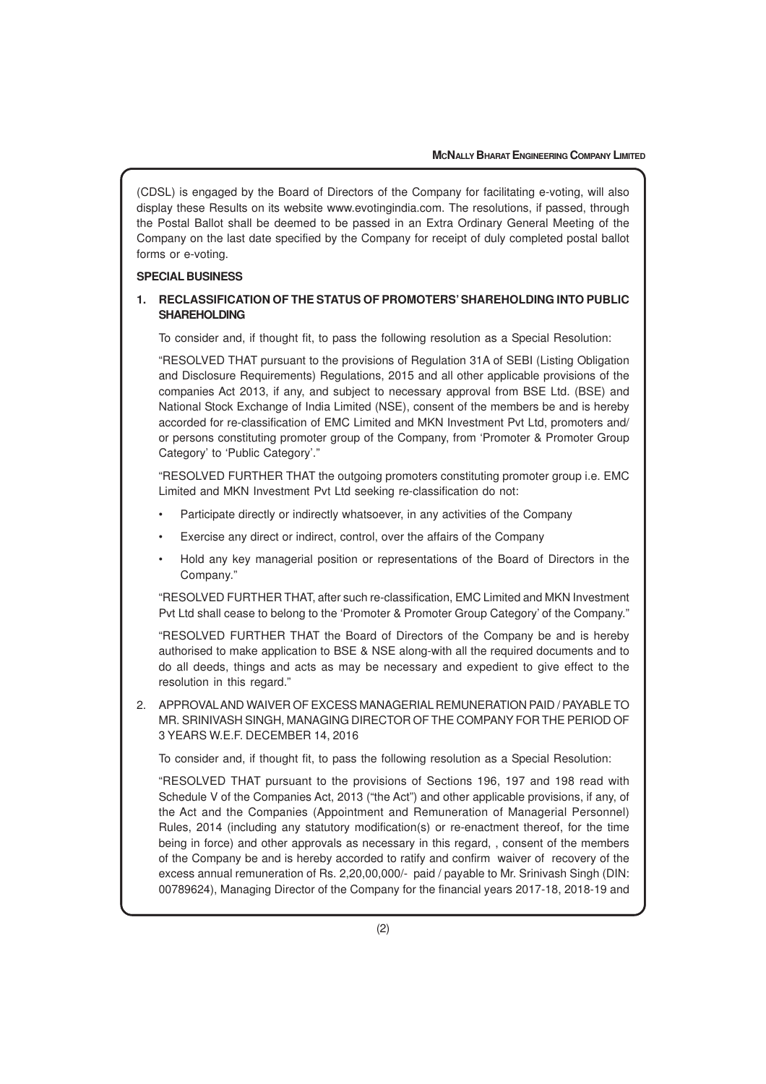(CDSL) is engaged by the Board of Directors of the Company for facilitating e-voting, will also display these Results on its website www.evotingindia.com. The resolutions, if passed, through the Postal Ballot shall be deemed to be passed in an Extra Ordinary General Meeting of the Company on the last date specified by the Company for receipt of duly completed postal ballot forms or e-voting.

## **SPECIAL BUSINESS**

# **1. RECLASSIFICATION OF THE STATUS OF PROMOTERS' SHAREHOLDING INTO PUBLIC SHAREHOLDING**

To consider and, if thought fit, to pass the following resolution as a Special Resolution:

"RESOLVED THAT pursuant to the provisions of Regulation 31A of SEBI (Listing Obligation and Disclosure Requirements) Regulations, 2015 and all other applicable provisions of the companies Act 2013, if any, and subject to necessary approval from BSE Ltd. (BSE) and National Stock Exchange of India Limited (NSE), consent of the members be and is hereby accorded for re-classification of EMC Limited and MKN Investment Pvt Ltd, promoters and/ or persons constituting promoter group of the Company, from 'Promoter & Promoter Group Category' to 'Public Category'."

"RESOLVED FURTHER THAT the outgoing promoters constituting promoter group i.e. EMC Limited and MKN Investment Pvt Ltd seeking re-classification do not:

- Participate directly or indirectly whatsoever, in any activities of the Company
- Exercise any direct or indirect, control, over the affairs of the Company
- Hold any key managerial position or representations of the Board of Directors in the Company."

"RESOLVED FURTHER THAT, after such re-classification, EMC Limited and MKN Investment Pvt Ltd shall cease to belong to the 'Promoter & Promoter Group Category' of the Company."

"RESOLVED FURTHER THAT the Board of Directors of the Company be and is hereby authorised to make application to BSE & NSE along-with all the required documents and to do all deeds, things and acts as may be necessary and expedient to give effect to the resolution in this regard."

2. APPROVALAND WAIVER OF EXCESS MANAGERIAL REMUNERATION PAID / PAYABLE TO MR. SRINIVASH SINGH, MANAGING DIRECTOR OF THE COMPANY FOR THE PERIOD OF 3 YEARS W.E.F. DECEMBER 14, 2016

To consider and, if thought fit, to pass the following resolution as a Special Resolution:

"RESOLVED THAT pursuant to the provisions of Sections 196, 197 and 198 read with Schedule V of the Companies Act, 2013 ("the Act") and other applicable provisions, if any, of the Act and the Companies (Appointment and Remuneration of Managerial Personnel) Rules, 2014 (including any statutory modification(s) or re-enactment thereof, for the time being in force) and other approvals as necessary in this regard, , consent of the members of the Company be and is hereby accorded to ratify and confirm waiver of recovery of the excess annual remuneration of Rs. 2,20,00,000/- paid / payable to Mr. Srinivash Singh (DIN: 00789624), Managing Director of the Company for the financial years 2017-18, 2018-19 and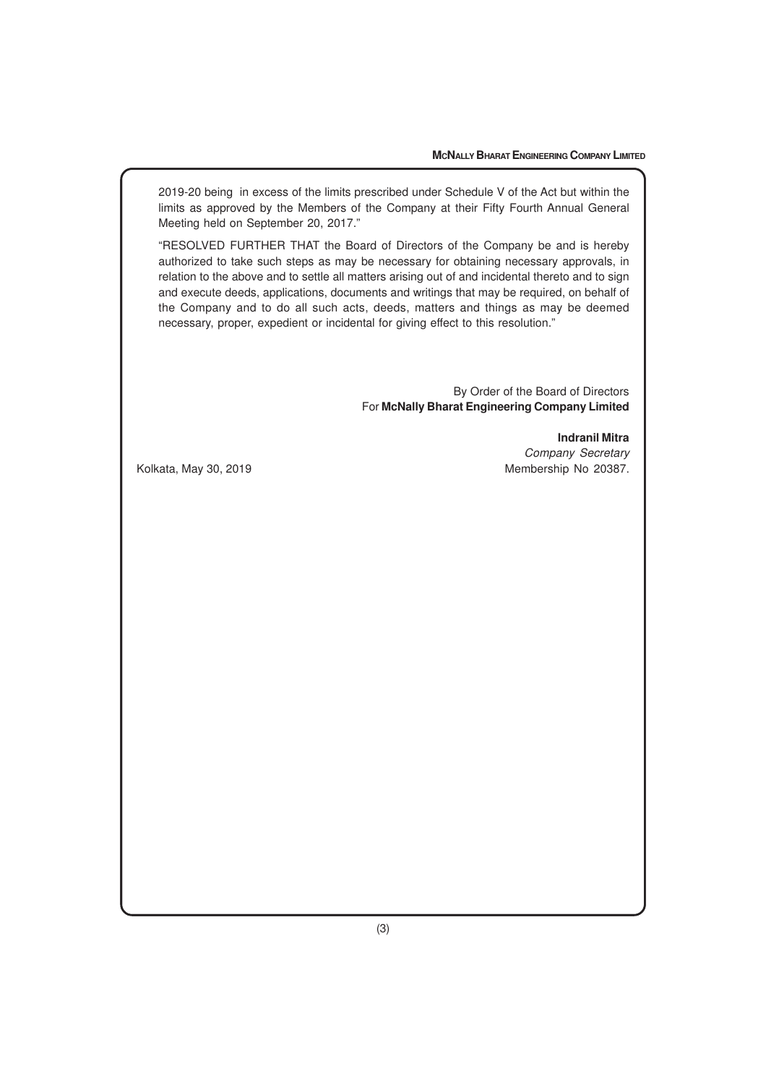2019-20 being in excess of the limits prescribed under Schedule V of the Act but within the limits as approved by the Members of the Company at their Fifty Fourth Annual General Meeting held on September 20, 2017."

"RESOLVED FURTHER THAT the Board of Directors of the Company be and is hereby authorized to take such steps as may be necessary for obtaining necessary approvals, in relation to the above and to settle all matters arising out of and incidental thereto and to sign and execute deeds, applications, documents and writings that may be required, on behalf of the Company and to do all such acts, deeds, matters and things as may be deemed necessary, proper, expedient or incidental for giving effect to this resolution."

> By Order of the Board of Directors For **McNally Bharat Engineering Company Limited**

**Indranil Mitra** Company Secretary Kolkata, May 30, 2019 Membership No 20387.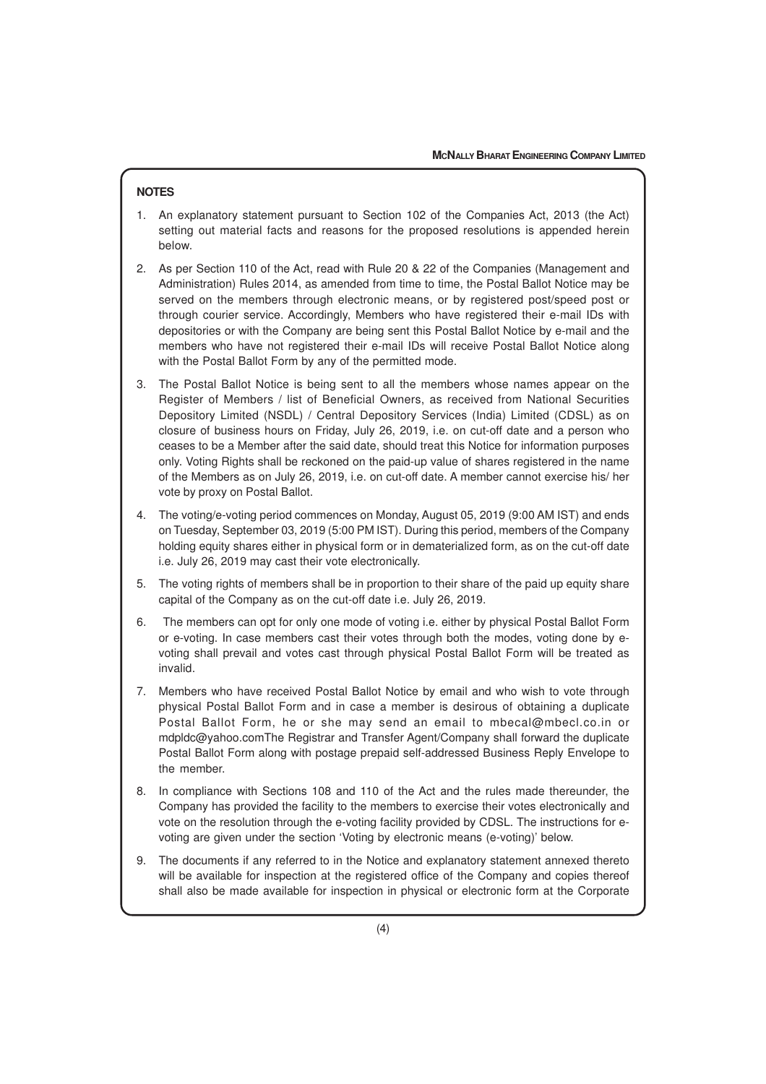# **NOTES**

- 1. An explanatory statement pursuant to Section 102 of the Companies Act, 2013 (the Act) setting out material facts and reasons for the proposed resolutions is appended herein below.
- 2. As per Section 110 of the Act, read with Rule 20 & 22 of the Companies (Management and Administration) Rules 2014, as amended from time to time, the Postal Ballot Notice may be served on the members through electronic means, or by registered post/speed post or through courier service. Accordingly, Members who have registered their e-mail IDs with depositories or with the Company are being sent this Postal Ballot Notice by e-mail and the members who have not registered their e-mail IDs will receive Postal Ballot Notice along with the Postal Ballot Form by any of the permitted mode.
- 3. The Postal Ballot Notice is being sent to all the members whose names appear on the Register of Members / list of Beneficial Owners, as received from National Securities Depository Limited (NSDL) / Central Depository Services (India) Limited (CDSL) as on closure of business hours on Friday, July 26, 2019, i.e. on cut-off date and a person who ceases to be a Member after the said date, should treat this Notice for information purposes only. Voting Rights shall be reckoned on the paid-up value of shares registered in the name of the Members as on July 26, 2019, i.e. on cut-off date. A member cannot exercise his/ her vote by proxy on Postal Ballot.
- 4. The voting/e-voting period commences on Monday, August 05, 2019 (9:00 AM IST) and ends on Tuesday, September 03, 2019 (5:00 PM IST). During this period, members of the Company holding equity shares either in physical form or in dematerialized form, as on the cut-off date i.e. July 26, 2019 may cast their vote electronically.
- 5. The voting rights of members shall be in proportion to their share of the paid up equity share capital of the Company as on the cut-off date i.e. July 26, 2019.
- 6. The members can opt for only one mode of voting i.e. either by physical Postal Ballot Form or e-voting. In case members cast their votes through both the modes, voting done by evoting shall prevail and votes cast through physical Postal Ballot Form will be treated as invalid.
- 7. Members who have received Postal Ballot Notice by email and who wish to vote through physical Postal Ballot Form and in case a member is desirous of obtaining a duplicate Postal Ballot Form, he or she may send an email to mbecal@mbecl.co.in or mdpldc@yahoo.comThe Registrar and Transfer Agent/Company shall forward the duplicate Postal Ballot Form along with postage prepaid self-addressed Business Reply Envelope to the member.
- 8. In compliance with Sections 108 and 110 of the Act and the rules made thereunder, the Company has provided the facility to the members to exercise their votes electronically and vote on the resolution through the e-voting facility provided by CDSL. The instructions for evoting are given under the section 'Voting by electronic means (e-voting)' below.
- 9. The documents if any referred to in the Notice and explanatory statement annexed thereto will be available for inspection at the registered office of the Company and copies thereof shall also be made available for inspection in physical or electronic form at the Corporate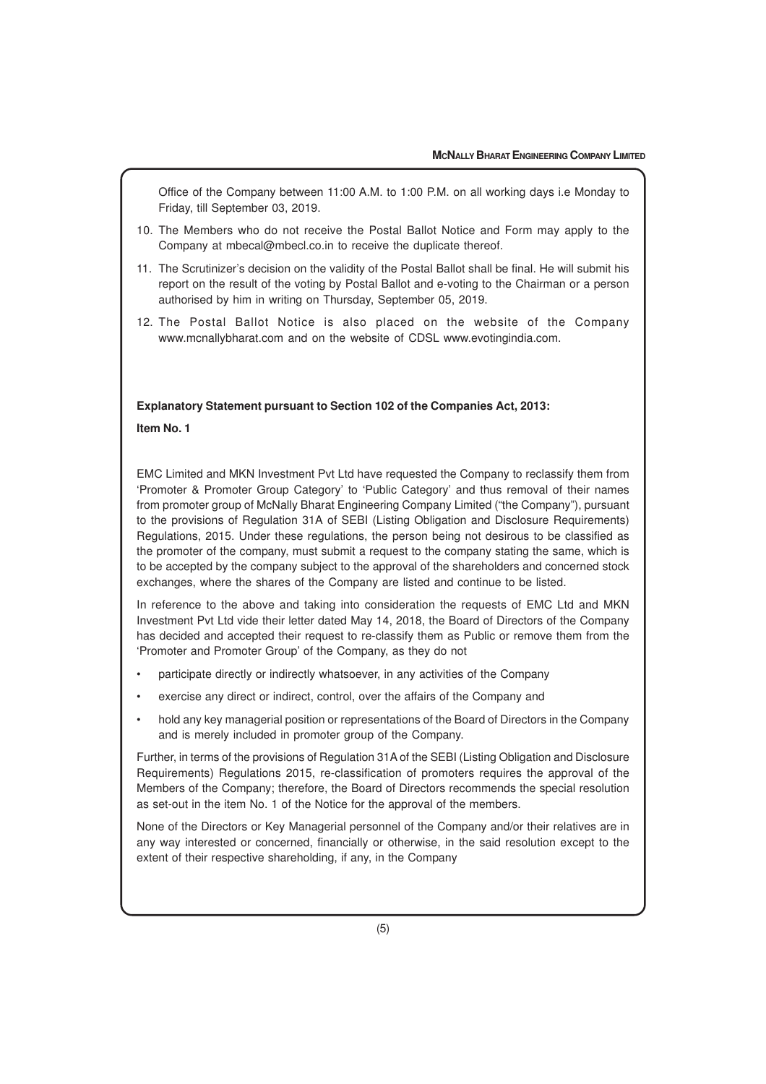Office of the Company between 11:00 A.M. to 1:00 P.M. on all working days i.e Monday to Friday, till September 03, 2019.

- 10. The Members who do not receive the Postal Ballot Notice and Form may apply to the Company at mbecal@mbecl.co.in to receive the duplicate thereof.
- 11. The Scrutinizer's decision on the validity of the Postal Ballot shall be final. He will submit his report on the result of the voting by Postal Ballot and e-voting to the Chairman or a person authorised by him in writing on Thursday, September 05, 2019.
- 12. The Postal Ballot Notice is also placed on the website of the Company www.mcnallybharat.com and on the website of CDSL www.evotingindia.com.

# **Explanatory Statement pursuant to Section 102 of the Companies Act, 2013: Item No. 1**

EMC Limited and MKN Investment Pvt Ltd have requested the Company to reclassify them from 'Promoter & Promoter Group Category' to 'Public Category' and thus removal of their names from promoter group of McNally Bharat Engineering Company Limited ("the Company"), pursuant to the provisions of Regulation 31A of SEBI (Listing Obligation and Disclosure Requirements) Regulations, 2015. Under these regulations, the person being not desirous to be classified as the promoter of the company, must submit a request to the company stating the same, which is to be accepted by the company subject to the approval of the shareholders and concerned stock exchanges, where the shares of the Company are listed and continue to be listed.

In reference to the above and taking into consideration the requests of EMC Ltd and MKN Investment Pvt Ltd vide their letter dated May 14, 2018, the Board of Directors of the Company has decided and accepted their request to re-classify them as Public or remove them from the 'Promoter and Promoter Group' of the Company, as they do not

- participate directly or indirectly whatsoever, in any activities of the Company
- exercise any direct or indirect, control, over the affairs of the Company and
- hold any key managerial position or representations of the Board of Directors in the Company and is merely included in promoter group of the Company.

Further, in terms of the provisions of Regulation 31A of the SEBI (Listing Obligation and Disclosure Requirements) Regulations 2015, re-classification of promoters requires the approval of the Members of the Company; therefore, the Board of Directors recommends the special resolution as set-out in the item No. 1 of the Notice for the approval of the members.

None of the Directors or Key Managerial personnel of the Company and/or their relatives are in any way interested or concerned, financially or otherwise, in the said resolution except to the extent of their respective shareholding, if any, in the Company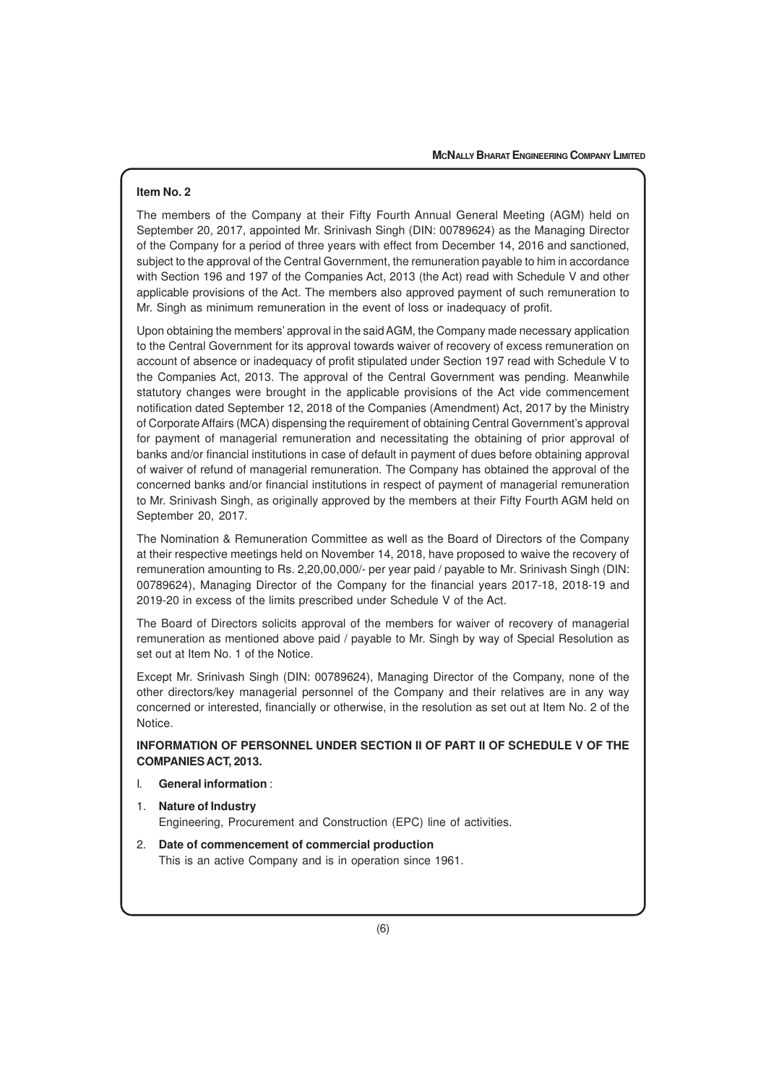# **Item No. 2**

The members of the Company at their Fifty Fourth Annual General Meeting (AGM) held on September 20, 2017, appointed Mr. Srinivash Singh (DIN: 00789624) as the Managing Director of the Company for a period of three years with effect from December 14, 2016 and sanctioned, subject to the approval of the Central Government, the remuneration payable to him in accordance with Section 196 and 197 of the Companies Act, 2013 (the Act) read with Schedule V and other applicable provisions of the Act. The members also approved payment of such remuneration to Mr. Singh as minimum remuneration in the event of loss or inadequacy of profit.

Upon obtaining the members' approval in the said AGM, the Company made necessary application to the Central Government for its approval towards waiver of recovery of excess remuneration on account of absence or inadequacy of profit stipulated under Section 197 read with Schedule V to the Companies Act, 2013. The approval of the Central Government was pending. Meanwhile statutory changes were brought in the applicable provisions of the Act vide commencement notification dated September 12, 2018 of the Companies (Amendment) Act, 2017 by the Ministry of Corporate Affairs (MCA) dispensing the requirement of obtaining Central Government's approval for payment of managerial remuneration and necessitating the obtaining of prior approval of banks and/or financial institutions in case of default in payment of dues before obtaining approval of waiver of refund of managerial remuneration. The Company has obtained the approval of the concerned banks and/or financial institutions in respect of payment of managerial remuneration to Mr. Srinivash Singh, as originally approved by the members at their Fifty Fourth AGM held on September 20, 2017.

The Nomination & Remuneration Committee as well as the Board of Directors of the Company at their respective meetings held on November 14, 2018, have proposed to waive the recovery of remuneration amounting to Rs. 2,20,00,000/- per year paid / payable to Mr. Srinivash Singh (DIN: 00789624), Managing Director of the Company for the financial years 2017-18, 2018-19 and 2019-20 in excess of the limits prescribed under Schedule V of the Act.

The Board of Directors solicits approval of the members for waiver of recovery of managerial remuneration as mentioned above paid / payable to Mr. Singh by way of Special Resolution as set out at Item No. 1 of the Notice.

Except Mr. Srinivash Singh (DIN: 00789624), Managing Director of the Company, none of the other directors/key managerial personnel of the Company and their relatives are in any way concerned or interested, financially or otherwise, in the resolution as set out at Item No. 2 of the Notice.

# **INFORMATION OF PERSONNEL UNDER SECTION II OF PART II OF SCHEDULE V OF THE COMPANIES ACT, 2013.**

### I. **General information** :

- 1. **Nature of Industry** Engineering, Procurement and Construction (EPC) line of activities.
- 2. **Date of commencement of commercial production** This is an active Company and is in operation since 1961.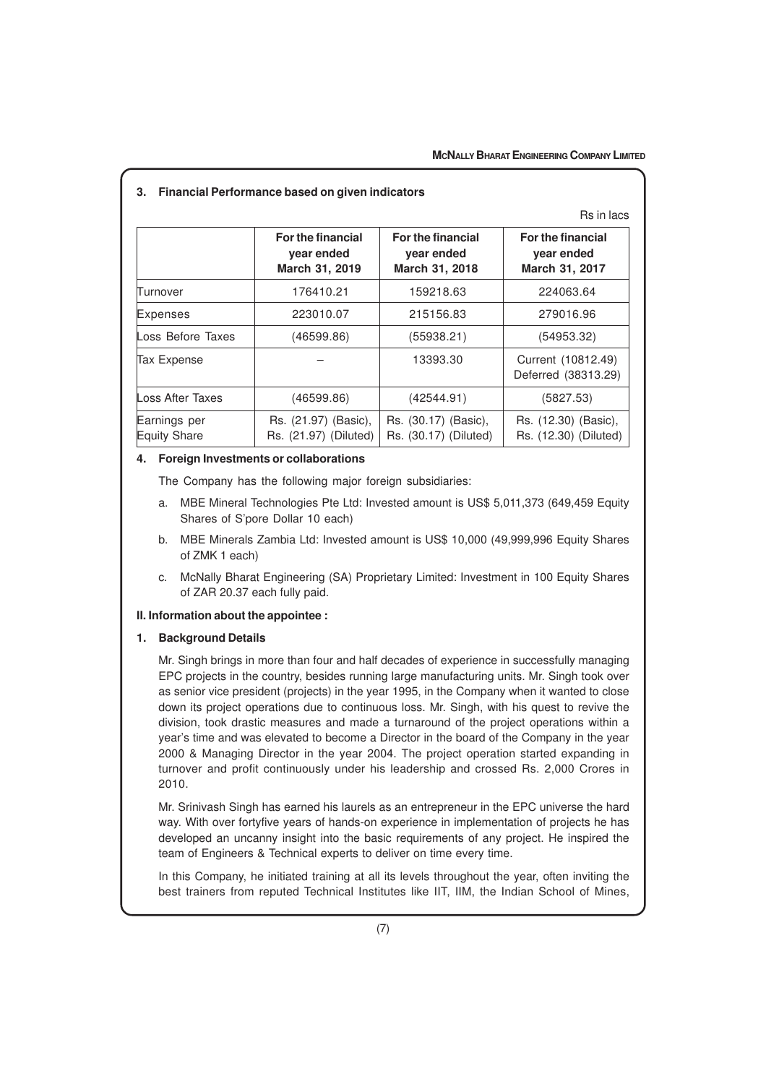|                                     | Rs in lacs                                        |                                                   |                                                   |  |  |
|-------------------------------------|---------------------------------------------------|---------------------------------------------------|---------------------------------------------------|--|--|
|                                     | For the financial<br>year ended<br>March 31, 2019 | For the financial<br>year ended<br>March 31, 2018 | For the financial<br>year ended<br>March 31, 2017 |  |  |
| Turnover                            | 176410.21                                         | 159218.63                                         | 224063.64                                         |  |  |
| Expenses                            | 223010.07                                         | 215156.83                                         | 279016.96                                         |  |  |
| Loss Before Taxes                   | (46599.86)                                        | (55938.21)                                        | (54953.32)                                        |  |  |
| Tax Expense                         |                                                   | 13393.30                                          | Current (10812.49)<br>Deferred (38313.29)         |  |  |
| Loss After Taxes                    | (46599.86)                                        | (42544.91)                                        | (5827.53)                                         |  |  |
| Earnings per<br><b>Equity Share</b> | Rs. (21.97) (Basic),<br>Rs. (21.97) (Diluted)     | Rs. (30.17) (Basic),<br>Rs. (30.17) (Diluted)     | Rs. (12.30) (Basic),<br>Rs. (12.30) (Diluted)     |  |  |

# **4. Foreign Investments or collaborations**

The Company has the following major foreign subsidiaries:

- a. MBE Mineral Technologies Pte Ltd: Invested amount is US\$ 5,011,373 (649,459 Equity Shares of S'pore Dollar 10 each)
- b. MBE Minerals Zambia Ltd: Invested amount is US\$ 10,000 (49,999,996 Equity Shares of ZMK 1 each)
- c. McNally Bharat Engineering (SA) Proprietary Limited: Investment in 100 Equity Shares of ZAR 20.37 each fully paid.

# **II. Information about the appointee :**

#### **1. Background Details**

Mr. Singh brings in more than four and half decades of experience in successfully managing EPC projects in the country, besides running large manufacturing units. Mr. Singh took over as senior vice president (projects) in the year 1995, in the Company when it wanted to close down its project operations due to continuous loss. Mr. Singh, with his quest to revive the division, took drastic measures and made a turnaround of the project operations within a year's time and was elevated to become a Director in the board of the Company in the year 2000 & Managing Director in the year 2004. The project operation started expanding in turnover and profit continuously under his leadership and crossed Rs. 2,000 Crores in 2010.

Mr. Srinivash Singh has earned his laurels as an entrepreneur in the EPC universe the hard way. With over fortyfive years of hands-on experience in implementation of projects he has developed an uncanny insight into the basic requirements of any project. He inspired the team of Engineers & Technical experts to deliver on time every time.

In this Company, he initiated training at all its levels throughout the year, often inviting the best trainers from reputed Technical Institutes like IIT, IIM, the Indian School of Mines,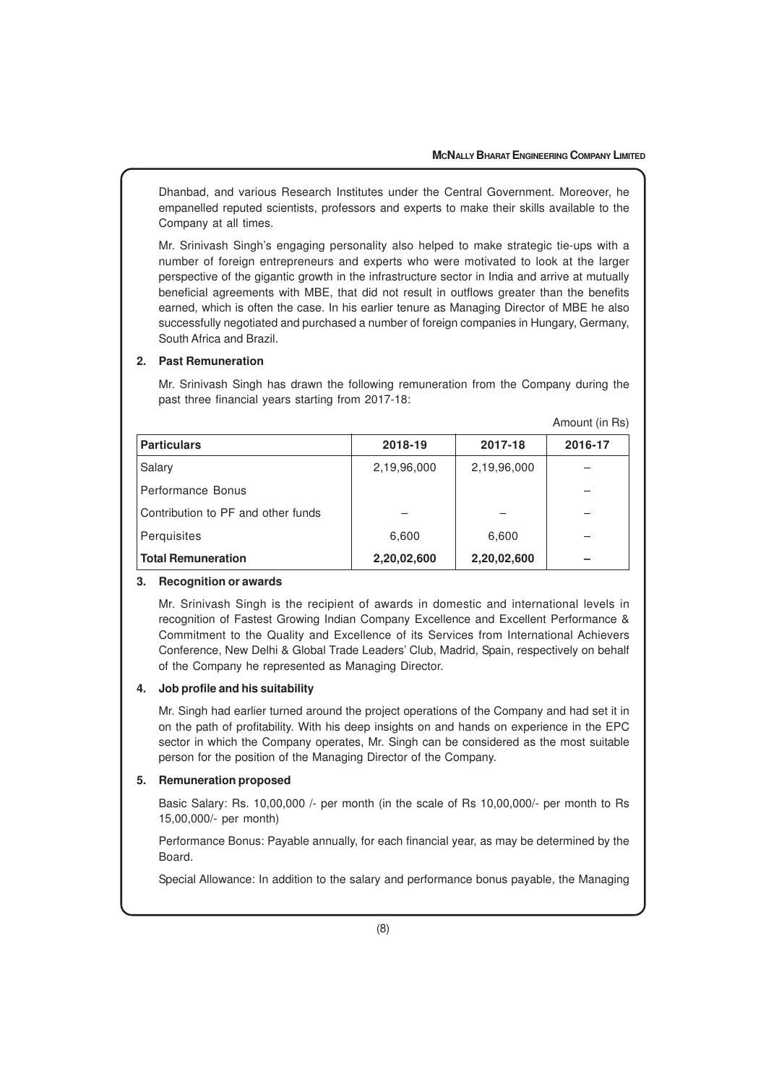Dhanbad, and various Research Institutes under the Central Government. Moreover, he empanelled reputed scientists, professors and experts to make their skills available to the Company at all times.

Mr. Srinivash Singh's engaging personality also helped to make strategic tie-ups with a number of foreign entrepreneurs and experts who were motivated to look at the larger perspective of the gigantic growth in the infrastructure sector in India and arrive at mutually beneficial agreements with MBE, that did not result in outflows greater than the benefits earned, which is often the case. In his earlier tenure as Managing Director of MBE he also successfully negotiated and purchased a number of foreign companies in Hungary, Germany, South Africa and Brazil.

## **2. Past Remuneration**

Mr. Srinivash Singh has drawn the following remuneration from the Company during the past three financial years starting from 2017-18:

| Amount (in Rs) |  |  |  |
|----------------|--|--|--|
|----------------|--|--|--|

| <b>Particulars</b>                 | 2018-19     | 2017-18     | 2016-17 |
|------------------------------------|-------------|-------------|---------|
| Salary                             | 2,19,96,000 | 2,19,96,000 |         |
| Performance Bonus                  |             |             |         |
| Contribution to PF and other funds |             |             |         |
| Perquisites                        | 6,600       | 6,600       |         |
| <b>Total Remuneration</b>          | 2,20,02,600 | 2,20,02,600 |         |

#### **3. Recognition or awards**

Mr. Srinivash Singh is the recipient of awards in domestic and international levels in recognition of Fastest Growing Indian Company Excellence and Excellent Performance & Commitment to the Quality and Excellence of its Services from International Achievers Conference, New Delhi & Global Trade Leaders' Club, Madrid, Spain, respectively on behalf of the Company he represented as Managing Director.

#### **4. Job profile and his suitability**

Mr. Singh had earlier turned around the project operations of the Company and had set it in on the path of profitability. With his deep insights on and hands on experience in the EPC sector in which the Company operates, Mr. Singh can be considered as the most suitable person for the position of the Managing Director of the Company.

# **5. Remuneration proposed**

Basic Salary: Rs. 10,00,000 /- per month (in the scale of Rs 10,00,000/- per month to Rs 15,00,000/- per month)

Performance Bonus: Payable annually, for each financial year, as may be determined by the Board.

Special Allowance: In addition to the salary and performance bonus payable, the Managing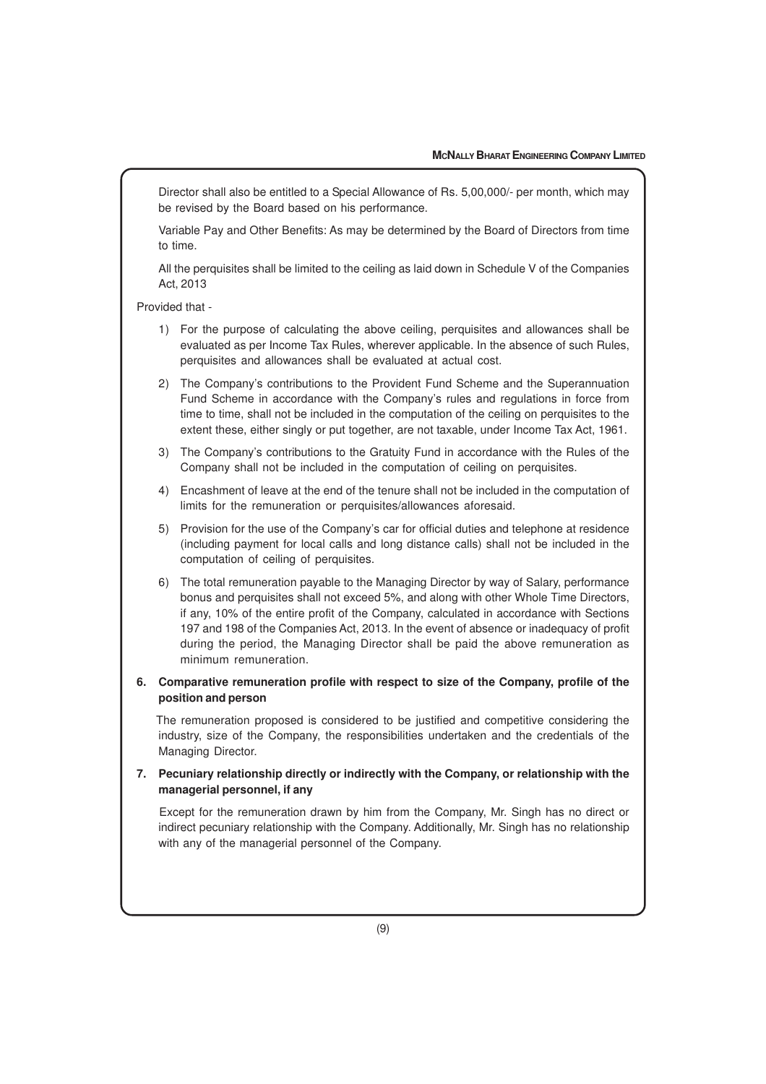Director shall also be entitled to a Special Allowance of Rs. 5,00,000/- per month, which may be revised by the Board based on his performance.

Variable Pay and Other Benefits: As may be determined by the Board of Directors from time to time.

All the perquisites shall be limited to the ceiling as laid down in Schedule V of the Companies Act, 2013

Provided that -

- 1) For the purpose of calculating the above ceiling, perquisites and allowances shall be evaluated as per Income Tax Rules, wherever applicable. In the absence of such Rules, perquisites and allowances shall be evaluated at actual cost.
- 2) The Company's contributions to the Provident Fund Scheme and the Superannuation Fund Scheme in accordance with the Company's rules and regulations in force from time to time, shall not be included in the computation of the ceiling on perquisites to the extent these, either singly or put together, are not taxable, under Income Tax Act, 1961.
- 3) The Company's contributions to the Gratuity Fund in accordance with the Rules of the Company shall not be included in the computation of ceiling on perquisites.
- 4) Encashment of leave at the end of the tenure shall not be included in the computation of limits for the remuneration or perquisites/allowances aforesaid.
- 5) Provision for the use of the Company's car for official duties and telephone at residence (including payment for local calls and long distance calls) shall not be included in the computation of ceiling of perquisites.
- 6) The total remuneration payable to the Managing Director by way of Salary, performance bonus and perquisites shall not exceed 5%, and along with other Whole Time Directors, if any, 10% of the entire profit of the Company, calculated in accordance with Sections 197 and 198 of the Companies Act, 2013. In the event of absence or inadequacy of profit during the period, the Managing Director shall be paid the above remuneration as minimum remuneration.
- **6. Comparative remuneration profile with respect to size of the Company, profile of the position and person**

 The remuneration proposed is considered to be justified and competitive considering the industry, size of the Company, the responsibilities undertaken and the credentials of the Managing Director.

**7. Pecuniary relationship directly or indirectly with the Company, or relationship with the managerial personnel, if any**

 Except for the remuneration drawn by him from the Company, Mr. Singh has no direct or indirect pecuniary relationship with the Company. Additionally, Mr. Singh has no relationship with any of the managerial personnel of the Company.